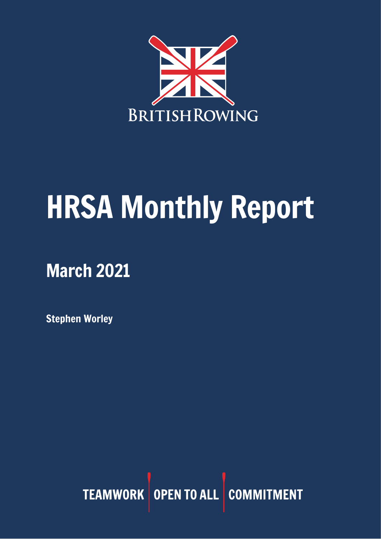

# HRSA Monthly Report

# March 2021

Stephen Worley

TEAMWORK OPEN TO ALL COMMITMENT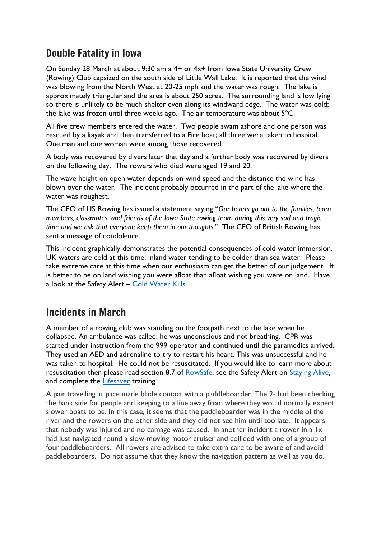#### Double Fatality in Iowa

On Sunday 28 March at about 9:30 am a 4+ or 4x+ from Iowa State University Crew (Rowing) Club capsized on the south side of Little Wall Lake. It is reported that the wind was blowing from the North West at 20-25 mph and the water was rough. The lake is approximately triangular and the area is about 250 acres. The surrounding land is low lying so there is unlikely to be much shelter even along its windward edge. The water was cold; the lake was frozen until three weeks ago. The air temperature was about 5ºC.

All five crew members entered the water. Two people swam ashore and one person was rescued by a kayak and then transferred to a Fire boat; all three were taken to hospital. One man and one woman were among those recovered.

A body was recovered by divers later that day and a further body was recovered by divers on the following day. The rowers who died were aged 19 and 20.

The wave height on open water depends on wind speed and the distance the wind has blown over the water. The incident probably occurred in the part of the lake where the water was roughest.

The CEO of US Rowing has issued a statement saying "*Our hearts go out to the families, team members, classmates, and friends of the Iowa State rowing team during this very sad and tragic time and we ask that everyone keep them in our thoughts*." The CEO of British Rowing has sent a message of condolence.

This incident graphically demonstrates the potential consequences of cold water immersion. UK waters are cold at this time; inland water tending to be colder than sea water. Please take extreme care at this time when our enthusiasm can get the better of our judgement. It is better to be on land wishing you were afloat than afloat wishing you were on land. Have a look at the Safety Alert – [Cold Water Kills.](https://www.britishrowing.org/wp-content/uploads/2015/09/Safety-Alert-Cold-Water-Kills-1.pdf)

### Incidents in March

A member of a rowing club was standing on the footpath next to the lake when he collapsed. An ambulance was called; he was unconscious and not breathing. CPR was started under instruction from the 999 operator and continued until the paramedics arrived. They used an AED and adrenaline to try to restart his heart. This was unsuccessful and he was taken to hospital. He could not be resuscitated. If you would like to learn more about resuscitation then please read section 8.7 of [RowSafe,](https://www.britishrowing.org/about-us/policies-guidance/rowsafe/) see the Safety Alert on [Staying Alive,](https://www.britishrowing.org/wp-content/uploads/2016/07/Safety-Alert-Staying-Alive-FINAL.pdf) and complete the **Lifesaver** training.

A pair travelling at pace made blade contact with a paddleboarder. The 2- had been checking the bank side for people and keeping to a line away from where they would normally expect slower boats to be. In this case, it seems that the paddleboarder was in the middle of the river and the rowers on the other side and they did not see him until too late. It appears that nobody was injured and no damage was caused. In another incident a rower in a 1x had just navigated round a slow-moving motor cruiser and collided with one of a group of four paddleboarders. All rowers are advised to take extra care to be aware of and avoid paddleboarders. Do not assume that they know the navigation pattern as well as you do.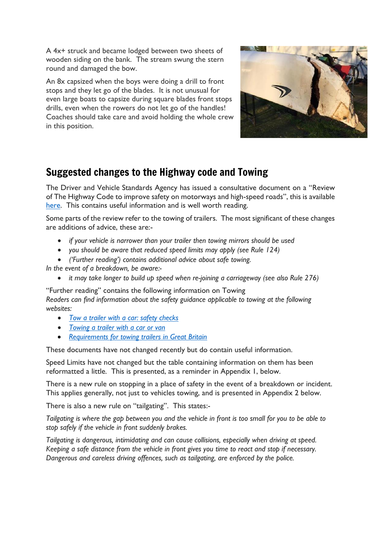A 4x+ struck and became lodged between two sheets of wooden siding on the bank. The stream swung the stern round and damaged the bow.

An 8x capsized when the boys were doing a drill to front stops and they let go of the blades. It is not unusual for even large boats to capsize during square blades front stops drills, even when the rowers do not let go of the handles! Coaches should take care and avoid holding the whole crew in this position.



#### Suggested changes to the Highway code and Towing

The Driver and Vehicle Standards Agency has issued a consultative document on a "Review of The Highway Code to improve safety on motorways and high-speed roads", this is available [here.](https://assets.publishing.service.gov.uk/government/uploads/system/uploads/attachment_data/file/965162/Review_of_The_Highway_Code_to_improve_safety_on_motorways_and_high-speed_roads.pdf) This contains useful information and is well worth reading.

Some parts of the review refer to the towing of trailers. The most significant of these changes are additions of advice, these are:-

- *if your vehicle is narrower than your trailer then towing mirrors should be used*
- *you should be aware that reduced speed limits may apply (see Rule 124)*
- *('Further reading') contains additional advice about safe towing.*

*In the event of a breakdown, be aware:-*

• *it may take longer to build up speed when re-joining a carriageway (see also Rule 276)* 

"Further reading" contains the following information on Towing *Readers can find information about the safety guidance applicable to towing at the following websites:* 

- *[Tow a trailer with a car: safety checks](https://www.gov.uk/guidance/tow-a-trailer-with-a-car-safety-checks)*
- *[Towing a trailer with a car or van](https://www.gov.uk/government/publications/towing-a-trailer-with-a-car-or-van)*
- *Requirements for [towing trailers in Great Britain](https://www.gov.uk/government/publications/inf30-requirements-for-towing-trailers-in-great-britain)*

These documents have not changed recently but do contain useful information.

Speed Limits have not changed but the table containing information on them has been reformatted a little. This is presented, as a reminder in Appendix 1, below.

There is a new rule on stopping in a place of safety in the event of a breakdown or incident. This applies generally, not just to vehicles towing, and is presented in Appendix 2 below.

There is also a new rule on "tailgating". This states:-

*Tailgating is where the gap between you and the vehicle in front is too small for you to be able to stop safely if the vehicle in front suddenly brakes.* 

*Tailgating is dangerous, intimidating and can cause collisions, especially when driving at speed. Keeping a safe distance from the vehicle in front gives you time to react and stop if necessary. Dangerous and careless driving offences, such as tailgating, are enforced by the police.*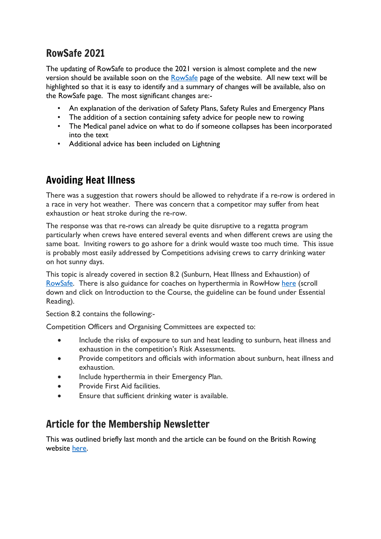#### RowSafe 2021

The updating of RowSafe to produce the 2021 version is almost complete and the new version should be available soon on the [RowSafe](https://www.britishrowing.org/about-us/policies-guidance/rowsafe/) page of the website. All new text will be highlighted so that it is easy to identify and a summary of changes will be available, also on the RowSafe page. The most significant changes are:-

- An explanation of the derivation of Safety Plans, Safety Rules and Emergency Plans
- The addition of a section containing safety advice for people new to rowing
- The Medical panel advice on what to do if someone collapses has been incorporated into the text
- Additional advice has been included on Lightning

### Avoiding Heat Illness

There was a suggestion that rowers should be allowed to rehydrate if a re-row is ordered in a race in very hot weather. There was concern that a competitor may suffer from heat exhaustion or heat stroke during the re-row.

The response was that re-rows can already be quite disruptive to a regatta program particularly when crews have entered several events and when different crews are using the same boat. Inviting rowers to go ashore for a drink would waste too much time. This issue is probably most easily addressed by Competitions advising crews to carry drinking water on hot sunny days.

This topic is already covered in section 8.2 (Sunburn, Heat Illness and Exhaustion) of [RowSafe.](https://www.britishrowing.org/about-us/policies-guidance/rowsafe/) There is also guidance for coaches on hyperthermia in RowHow [here](https://www.rowhow.org/course/view.php?id=120) (scroll down and click on Introduction to the Course, the guideline can be found under Essential Reading).

Section 8.2 contains the following:-

Competition Officers and Organising Committees are expected to:

- Include the risks of exposure to sun and heat leading to sunburn, heat illness and exhaustion in the competition's Risk Assessments.
- Provide competitors and officials with information about sunburn, heat illness and exhaustion.
- Include hyperthermia in their Emergency Plan.
- Provide First Aid facilities.
- Ensure that sufficient drinking water is available.

#### Article for the Membership Newsletter

This was outlined briefly last month and the article can be found on the British Rowing website [here.](https://www.britishrowing.org/2021/02/safety-equipment-checks-down-the-boathouse/)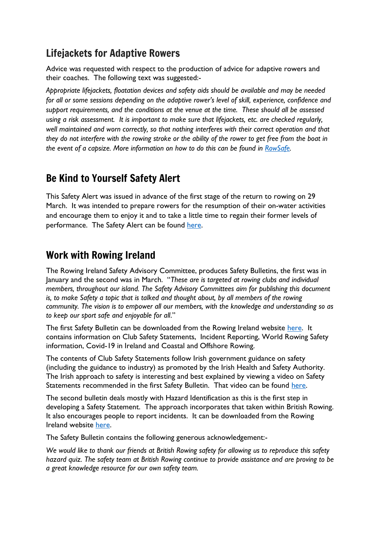#### Lifejackets for Adaptive Rowers

Advice was requested with respect to the production of advice for adaptive rowers and their coaches. The following text was suggested:-

*Appropriate lifejackets, floatation devices and safety aids should be available and may be needed for all or some sessions depending on the adaptive rower's level of skill, experience, confidence and support requirements, and the conditions at the venue at the time. These should all be assessed using a risk assessment. It is important to make sure that lifejackets, etc. are checked regularly, well maintained and worn correctly, so that nothing interferes with their correct operation and that* they do not interfere with the rowing stroke or the ability of the rower to get free from the boat in *the event of a capsize. More information on how to do this can be found in [RowSafe.](https://www.britishrowing.org/about-us/policies-guidance/rowsafe/)*

### Be Kind to Yourself Safety Alert

This Safety Alert was issued in advance of the first stage of the return to rowing on 29 March. It was intended to prepare rowers for the resumption of their on-water activities and encourage them to enjoy it and to take a little time to regain their former levels of performance. The Safety Alert can be found [here.](https://www.britishrowing.org/wp-content/uploads/2021/03/Safety-Alert-Be-kind-to-yourself-March-2021-1.pdf)

#### Work with Rowing Ireland

The Rowing Ireland Safety Advisory Committee, produces Safety Bulletins, the first was in January and the second was in March. "*These are is targeted at rowing clubs and individual members, throughout our island. The Safety Advisory Committees aim for publishing this document is, to make Safety a topic that is talked and thought about, by all members of the rowing community. The vision is to empower all our members, with the knowledge and understanding so as to keep our sport safe and enjoyable for all*."

The first Safety Bulletin can be downloaded from the Rowing Ireland website [here.](https://www.rowingireland.ie/rowing-ireland-safety-advisory-committee/) It contains information on Club Safety Statements, Incident Reporting, World Rowing Safety information, Covid-19 in Ireland and Coastal and Offshore Rowing.

The contents of Club Safety Statements follow Irish government guidance on safety (including the guidance to industry) as promoted by the Irish Health and Safety Authority. The Irish approach to safety is interesting and best explained by viewing a video on Safety Statements recommended in the first Safety Bulletin. That video can be found [here.](https://www.youtube.com/watch?v=fQOUQpOuJlU)

The second bulletin deals mostly with Hazard Identification as this is the first step in developing a Safety Statement. The approach incorporates that taken within British Rowing. It also encourages people to report incidents. It can be downloaded from the Rowing Ireland website [here.](https://www.rowingireland.ie/wp-content/uploads/2021/03/Rowing-Ireland-Safety-Bulletin-final-ED02-March-2021-PK2-Copy.pdf)

The Safety Bulletin contains the following generous acknowledgement:-

*We would like to thank our friends at British Rowing safety for allowing us to reproduce this safety hazard quiz. The safety team at British Rowing continue to provide assistance and are proving to be a great knowledge resource for our own safety team.*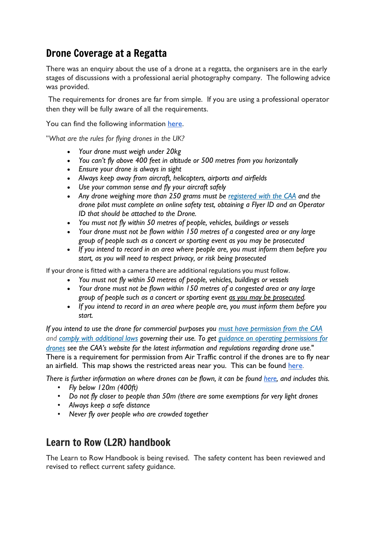#### Drone Coverage at a Regatta

There was an enquiry about the use of a drone at a regatta, the organisers are in the early stages of discussions with a professional aerial photography company. The following advice was provided.

The requirements for drones are far from simple. If you are using a professional operator then they will be fully aware of all the requirements.

You can find the following information [here.](https://www.nottinghamshire.police.uk/advice/drone-law-uk)

"*What are the rules for flying drones in the UK?*

- *Your drone must weigh under 20kg*
- *You can't fly above 400 feet in altitude or 500 metres from you horizontally*
- *Ensure your drone is always in sight*
- *Always keep away from aircraft, helicopters, airports and airfields*
- *Use your common sense and fly your aircraft safely*
- *Any drone weighing more than 250 grams must be [registered](https://register-drones.caa.co.uk/individual) with the CAA and the drone pilot must complete an online safety test, obtaining a Flyer ID and an Operator ID that should be attached to the Drone.*
- *You must not fly within 50 metres of people, vehicles, buildings or vessels*
- *Your drone must not be flown within 150 metres of a congested area or any large group of people such as a concert or sporting event as you may be prosecuted*
- *If you intend to record in an area where people are, you must inform them before you start, as you will need to respect privacy, or risk being prosecuted*

If your drone is fitted with a camera there are additional regulations you must follow.

- *You must not fly within 50 metres of people, vehicles, buildings or vessels*
- *Your drone must not be flown within 150 metres of a congested area or any large group of people such as a concert or sporting event as you may be [prosecuted.](http://www.bbc.co.uk/news/uk-england-nottinghamshire-34256680)*
- *If you intend to record in an area where people are, you must inform them before you start.*

*If you intend to use the drone for commercial purposes you must have [permission](https://www.caa.co.uk/Commercial-industry/Aircraft/Unmanned-aircraft/Large-unmanned-aircraft/) from the CAA and comply with [additional](https://www.caa.co.uk/Commercial-industry/Aircraft/Unmanned-aircraft/Guidance-on-operating-permissions-for-drones/) laws governing their use. To get guidance on operating [permissions](https://www.caa.co.uk/Commercial-industry/Aircraft/Unmanned-aircraft/Unmanned-Aircraft/) for [drones](https://www.caa.co.uk/Commercial-industry/Aircraft/Unmanned-aircraft/Unmanned-Aircraft/) see the CAA's website for the latest information and regulations regarding drone use.*" There is a requirement for permission from Air Traffic control if the drones are to fly near an airfield. This map shows the restricted areas near you. This can be found [here.](https://dronesafe.uk/restrictions/)

There is further information on where drones can be flown, it can be found [here,](https://register-drones.caa.co.uk/drone-code/where-you-can-fly) and includes this.

- *Fly below 120m (400ft)*
- *Do not fly closer to people than 50m (there are some exemptions for very light drones*
- *Always keep a safe distance*
- *Never fly over people who are crowded together*

#### Learn to Row (L2R) handbook

The Learn to Row Handbook is being revised. The safety content has been reviewed and revised to reflect current safety guidance.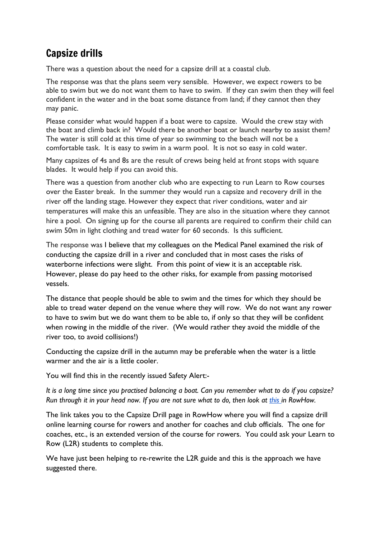#### Capsize drills

There was a question about the need for a capsize drill at a coastal club.

The response was that the plans seem very sensible. However, we expect rowers to be able to swim but we do not want them to have to swim. If they can swim then they will feel confident in the water and in the boat some distance from land; if they cannot then they may panic.

Please consider what would happen if a boat were to capsize. Would the crew stay with the boat and climb back in? Would there be another boat or launch nearby to assist them? The water is still cold at this time of year so swimming to the beach will not be a comfortable task. It is easy to swim in a warm pool. It is not so easy in cold water.

Many capsizes of 4s and 8s are the result of crews being held at front stops with square blades. It would help if you can avoid this.

There was a question from another club who are expecting to run Learn to Row courses over the Easter break. In the summer they would run a capsize and recovery drill in the river off the landing stage. However they expect that river conditions, water and air temperatures will make this an unfeasible. They are also in the situation where they cannot hire a pool. On signing up for the course all parents are required to confirm their child can swim 50m in light clothing and tread water for 60 seconds. Is this sufficient.

The response was I believe that my colleagues on the Medical Panel examined the risk of conducting the capsize drill in a river and concluded that in most cases the risks of waterborne infections were slight. From this point of view it is an acceptable risk. However, please do pay heed to the other risks, for example from passing motorised vessels.

The distance that people should be able to swim and the times for which they should be able to tread water depend on the venue where they will row. We do not want any rower to have to swim but we do want them to be able to, if only so that they will be confident when rowing in the middle of the river. (We would rather they avoid the middle of the river too, to avoid collisions!)

Conducting the capsize drill in the autumn may be preferable when the water is a little warmer and the air is a little cooler.

You will find this in the recently issued Safety Alert:-

It is a long time since you practised balancing a boat. Can you remember what to do if you capsize? Run through it in your head now. If you are not sure what to do, then look at [this](https://www.rowhow.org/course/view.php?id=195) in RowHow.

The link takes you to the Capsize Drill page in RowHow where you will find a capsize drill online learning course for rowers and another for coaches and club officials. The one for coaches, etc., is an extended version of the course for rowers. You could ask your Learn to Row (L2R) students to complete this.

We have just been helping to re-rewrite the L2R guide and this is the approach we have suggested there.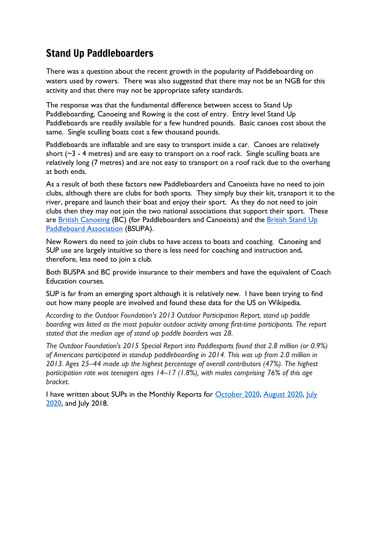#### Stand Up Paddleboarders

There was a question about the recent growth in the popularity of Paddleboarding on waters used by rowers. There was also suggested that there may not be an NGB for this activity and that there may not be appropriate safety standards.

The response was that the fundamental difference between access to Stand Up Paddleboarding, Canoeing and Rowing is the cost of entry. Entry level Stand Up Paddleboards are readily available for a few hundred pounds. Basic canoes cost about the same. Single sculling boats cost a few thousand pounds.

Paddleboards are inflatable and are easy to transport inside a car. Canoes are relatively short  $(\sim$ 3 - 4 metres) and are easy to transport on a roof rack. Single sculling boats are relatively long (7 metres) and are not easy to transport on a roof rack due to the overhang at both ends.

As a result of both these factors new Paddleboarders and Canoeists have no need to join clubs, although there are clubs for both sports. They simply buy their kit, transport it to the river, prepare and launch their boat and enjoy their sport. As they do not need to join clubs then they may not join the two national associations that support their sport. These are British [Canoeing](https://www.bsupa.org.uk/) (BC) (for Paddleboarders and Canoeists) and the [British](https://www.bsupa.org.uk/) Stand Up [Paddleboard](https://www.bsupa.org.uk/) Association (BSUPA).

New Rowers do need to join clubs to have access to boats and coaching. Canoeing and SUP use are largely intuitive so there is less need for coaching and instruction and, therefore, less need to join a club.

Both BUSPA and BC provide insurance to their members and have the equivalent of Coach Education courses.

SUP is far from an emerging sport although it is relatively new. I have been trying to find out how many people are involved and found these data for the US on Wikipedia.

*According to the Outdoor Foundation's 2013 Outdoor Participation Report, stand up paddle boarding was listed as the most popular outdoor activity among first-time participants. The report stated that the median age of stand up paddle boarders was 28.*

*The Outdoor Foundation's 2015 Special Report into Paddlesports found that 2.8 million (or 0.9%) of Americans participated in standup paddleboarding in 2014. This was up from 2.0 million in 2013. Ages 25–44 made up the highest percentage of overall contributors (47%). The highest participation rate was teenagers ages 14–17 (1.8%), with males comprising 76% of this age bracket.*

I have written about SUPs in the Monthly Reports for [October 2020,](https://www.britishrowing.org/wp-content/uploads/2020/11/HRSA-Monthly-Report-October-2020.pdf) [August 2020,](https://www.britishrowing.org/wp-content/uploads/2020/10/HRSA-Monthly-Report-August-2020.pdf) July [2020,](https://www.britishrowing.org/wp-content/uploads/2020/08/HRSA-Monthly-Report-July-2020.pdf) and July 2018.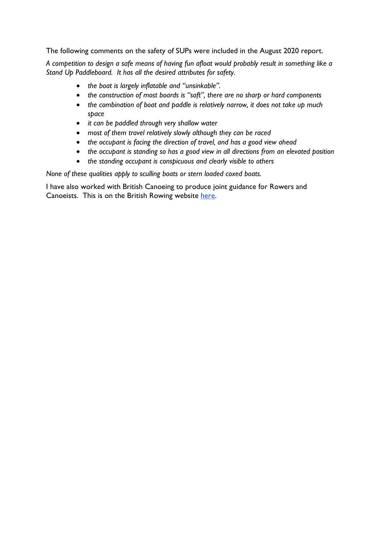The following comments on the safety of SUPs were included in the August 2020 report.

A competition to design a safe means of having fun afloat would probably result in something like a *Stand Up Paddleboard. It has all the desired attributes for safety.*

- *the boat is largely inflatable and "unsinkable".*
- *the construction of most boards is "soft", there are no sharp or hard components*
- *the combination of boat and paddle is relatively narrow, it does not take up much space*
- *it can be paddled through very shallow water*
- *most of them travel relatively slowly although they can be raced*
- *the occupant is facing the direction of travel, and has a good view ahead*
- *the occupant is standing so has a good view in all directions from an elevated position*
- *the standing occupant is conspicuous and clearly visible to others*

*None of these qualities apply to sculling boats or stern loaded coxed boats.*

I have also worked with British Canoeing to produce joint guidance for Rowers and Canoeists. This is on the British Rowing website [here.](https://www.britishrowing.org/wp-content/uploads/2017/03/Guidance-for-Rowers-and-Canoeists-on-shared-water.pdf)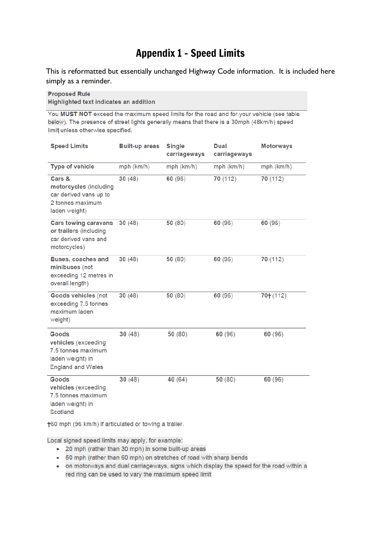## Appendix 1 - Speed Limits

This is reformatted but essentially unchanged Highway Code information. It is included here simply as a reminder.

#### **Proposed Rule**

**Highlighted text indicates an addition** 

You MUST NOT exceed the maximum speed limits for the road and for your vehicle (see table below). The presence of street lights generally means that there is a 30mph (48km/h) speed limit unless otherwise specified.

| <b>Speed Limits</b>                                                                                | <b>Built-up areas</b> | <b>Single</b><br>carriageways | <b>Dual</b><br>carriageways | <b>Motorways</b> |
|----------------------------------------------------------------------------------------------------|-----------------------|-------------------------------|-----------------------------|------------------|
| <b>Type of vehicle</b>                                                                             | mph (km/h)            | mph (km/h)                    | mph (km/h)                  | mph (km/h)       |
| Cars &<br>motorcycles (including<br>car derived vans up to<br>2 tonnes maximum<br>laden weight)    | 30(48)                | 60 (96)                       | 70 (112)                    | 70 (112)         |
| <b>Cars towing caravans</b><br>or trailers (including<br>car derived vans and<br>motorcycles)      | 30(48)                | 50(80)                        | 60 (96)                     | 60 (96)          |
| <b>Buses, coaches and</b><br>minibuses (not<br>exceeding 12 metres in<br>overall length)           | 30(48)                | 50(80)                        | 60 (96)                     | 70 (112)         |
| Goods vehicles (not<br>exceeding 7.5 tonnes<br>maximum laden<br>weight)                            | 30(48)                | 50(80)                        | 60 (96)                     | $70+ (112)$      |
| Goods<br>vehicles (exceeding<br>7.5 tonnes maximum<br>laden weight) in<br><b>England and Wales</b> | 30(48)                | 50 (80)                       | 60 (96)                     | 60(96)           |
| Goods<br>vehicles (exceeding<br>7.5 tonnes maximum<br>laden weight) in<br>Scotland                 | 30(48)                | 40 (64)                       | 50 (80)                     | 60 (96)          |

+60 mph (96 km/h) if articulated or towing a trailer.

Local signed speed limits may apply, for example:

- 20 mph (rather than 30 mph) in some built-up areas
- 50 mph (rather than 60 mph) on stretches of road with sharp bends
- on motorways and dual carriageways, signs which display the speed for the road within a red ring can be used to vary the maximum speed limit